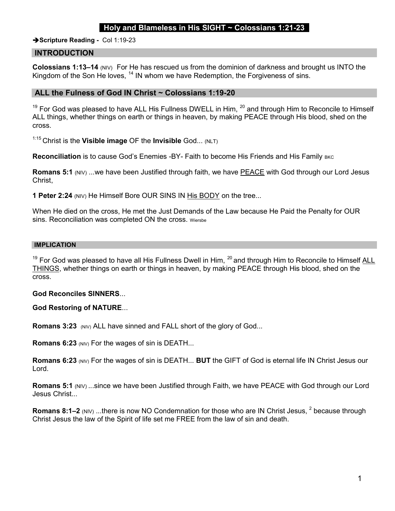## Holy and Blameless in His SIGHT  $\sim$  Colossians 1:21-23

Scripture Reading - Col 1:19-23

### INTRODUCTION

Colossians 1:13–14 (NIV) For He has rescued us from the dominion of darkness and brought us INTO the Kingdom of the Son He loves,  $14$  IN whom we have Redemption, the Forgiveness of sins.

### ALL the Fulness of God IN Christ ~ Colossians 1:19-20

 $19$  For God was pleased to have ALL His Fullness DWELL in Him,  $20$  and through Him to Reconcile to Himself ALL things, whether things on earth or things in heaven, by making PEACE through His blood, shed on the cross.

 $1:15$  Christ is the Visible image OF the Invisible God... (NLT)

Reconciliation is to cause God's Enemies -BY- Faith to become His Friends and His Family BKC

Romans 5:1 (NIV) ...we have been Justified through faith, we have PEACE with God through our Lord Jesus Christ,

**1 Peter 2:24 (NIV) He Himself Bore OUR SINS IN His BODY on the tree...** 

When He died on the cross, He met the Just Demands of the Law because He Paid the Penalty for OUR sins. Reconciliation was completed ON the cross. Wiersbe

#### IMPLICATION

 $19$  For God was pleased to have all His Fullness Dwell in Him,  $20$  and through Him to Reconcile to Himself ALL THINGS, whether things on earth or things in heaven, by making PEACE through His blood, shed on the cross.

### God Reconciles SINNERS...

#### God Restoring of NATURE...

Romans 3:23 (NIV) ALL have sinned and FALL short of the glory of God...

**Romans 6:23 (NIV) For the wages of sin is DEATH...** 

Romans 6:23 (NIV) For the wages of sin is DEATH... BUT the GIFT of God is eternal life IN Christ Jesus our Lord.

Romans 5:1 (NIV) ...since we have been Justified through Faith, we have PEACE with God through our Lord Jesus Christ...

**Romans 8:1–2** (NIV) ...there is now NO Condemnation for those who are IN Christ Jesus, <sup>2</sup> because through Christ Jesus the law of the Spirit of life set me FREE from the law of sin and death.